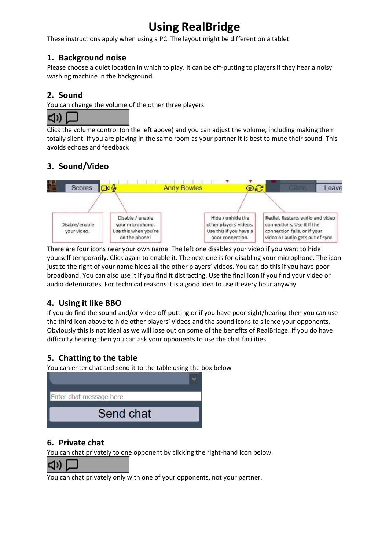# **Using RealBridge**

These instructions apply when using a PC. The layout might be different on a tablet.

## **1. Background noise**

Please choose a quiet location in which to play. It can be off-putting to players if they hear a noisy washing machine in the background.

# **2. Sound**

You can change the volume of the other three players.

Click the volume control (on the left above) and you can adjust the volume, including making them totally silent. If you are playing in the same room as your partner it is best to mute their sound. This avoids echoes and feedback

# **3. Sound/Video**



There are four icons near your own name. The left one disables your video if you want to hide yourself temporarily. Click again to enable it. The next one is for disabling your microphone. The icon just to the right of your name hides all the other players' videos. You can do this if you have poor broadband. You can also use it if you find it distracting. Use the final icon if you find your video or audio deteriorates. For technical reasons it is a good idea to use it every hour anyway.

# **4. Using it like BBO**

If you do find the sound and/or video off-putting or if you have poor sight/hearing then you can use the third icon above to hide other players' videos and the sound icons to silence your opponents. Obviously this is not ideal as we will lose out on some of the benefits of RealBridge. If you do have difficulty hearing then you can ask your opponents to use the chat facilities.

# **5. Chatting to the table**

You can enter chat and send it to the table using the box below



## **6. Private chat**

You can chat privately to one opponent by clicking the right-hand icon below.



You can chat privately only with one of your opponents, not your partner.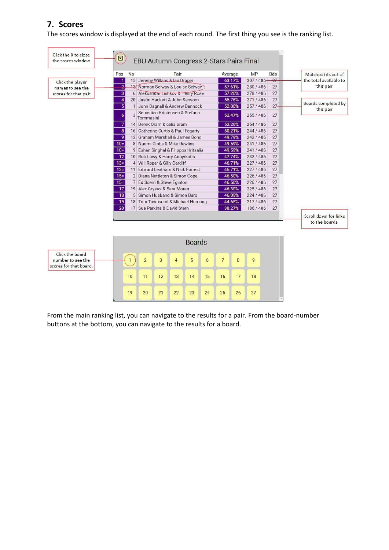## **7. Scores**

The scores window is displayed at the end of each round. The first thing you see is the ranking list.

| Click the X to close<br>the scores window.                     | $\boxed{\mathbb{Z}}$    |                                                              | EBU Autumn Congress 2-Stars Pairs Final     |    |      |               |                 |                |           |             |            |                                         |
|----------------------------------------------------------------|-------------------------|--------------------------------------------------------------|---------------------------------------------|----|------|---------------|-----------------|----------------|-----------|-------------|------------|-----------------------------------------|
|                                                                | Pos                     | <b>No</b>                                                    |                                             |    | Pair |               |                 |                | Average   | MP          | <b>Bds</b> | Matchpoints out of                      |
| Click the player                                               | 1                       |                                                              | 15 Jeremy Willans & Ian Draper              |    |      |               |                 |                | 63.17%    | $307/486 -$ | 27         | the total available to                  |
| names to see the                                               | $\overline{2}$          |                                                              | 13 Norman Selway & Louise Selway            |    |      |               |                 |                | 57.61%    | 280/486     | 27         | this pair                               |
| scores for that pair                                           | $\vert 3 \vert$         |                                                              | 6 Aleksandar Lishkov & Henry Rose           |    |      |               |                 |                | 57.20%    | 278 / 486   | 27         |                                         |
|                                                                | $\overline{\mathbf{4}}$ |                                                              | 20 Jasón Hackett & John Sansom              |    |      |               |                 |                | 55.76%    | 271 / 486   | 27         |                                         |
|                                                                | $\overline{5}$          | $\mathbf{1}$                                                 | John Dagnall & Andrew Bannock               |    |      |               |                 |                | 52.88%    | 257 / 486   | $27 -$     | Boards completed by                     |
|                                                                | 6                       | $\overline{3}$                                               | Sebastian Kristensen & Stefano<br>Tommasini |    |      |               |                 |                | 52.47%    | 255 / 486   | 27         | this pair                               |
|                                                                | $\overline{7}$          |                                                              | 14 Derek Oram & celia oram                  |    |      |               |                 |                | 52.26%    | 254 / 486   | 27         |                                         |
|                                                                | $\overline{8}$          |                                                              | 16 Catherine Curtis & Paul Fegarty          |    |      |               |                 |                | 50.21%    | 244/486     | 27         |                                         |
|                                                                | $\overline{9}$          | 27<br>12 Graham Marshall & James Bond<br>49.79%<br>242 / 486 |                                             |    |      |               |                 |                |           |             |            |                                         |
|                                                                | $10=$                   |                                                              | 8 Naomi Gibbs & Mike Rawlins                |    |      |               |                 | 49.59%         | 241 / 486 | 27          |            |                                         |
|                                                                | $10 =$                  |                                                              | 9 Eshan Singhal & Filippos Kritsalis        |    |      |               |                 |                | 49.59%    | 241 / 486   | 27         |                                         |
|                                                                | 12                      |                                                              | 10 Rob Lawy & Harry Anoyrkatis              |    |      |               |                 | 47.74%         | 232/486   | 27          |            |                                         |
|                                                                | $13=$                   |                                                              | 4 Will Roper & Gilly Cardiff                |    |      |               |                 |                | 46.71%    | 227/486     | 27         |                                         |
|                                                                | $13 =$                  |                                                              | 11 Edward Leatham & Nick Forrest            |    |      |               |                 | 46.71%         | 227/486   | 27          |            |                                         |
|                                                                | $15=$                   |                                                              | 2 Diana Nettleton & Simon Cope              |    |      |               |                 | 46.50%         | 226 / 486 | 27          |            |                                         |
|                                                                | $15 =$                  |                                                              | 7 Ed Scerri & Steve Eginton                 |    |      |               |                 | 46.50%         | 226 / 486 | 27          |            |                                         |
|                                                                | 17                      |                                                              | 19 Alex Crystol & Sara Moran                |    |      |               |                 | 46.30%         | 225/486   | 27          |            |                                         |
|                                                                | 18                      |                                                              | 5 Simon Husband & Simon Barb                |    |      |               |                 |                | 46.09%    | 224/486     | 27         |                                         |
|                                                                | 19                      |                                                              | 18 Tom Townsend & Michael Hornung           |    |      |               |                 |                | 44.65%    | 217/486     | 27         |                                         |
|                                                                | 20                      |                                                              | 17 Sue Parkins & David Stern<br>38.27%      |    |      |               |                 |                | 186/486   | 27          |            |                                         |
|                                                                |                         |                                                              |                                             |    |      |               |                 |                |           |             |            | Scroll down for links<br>to the boards. |
|                                                                |                         |                                                              |                                             |    |      | <b>Boards</b> |                 |                |           |             |            |                                         |
| Click the board<br>number to see the<br>scores for that board. |                         | $\mathbf{1}$                                                 | $\overline{2}$                              | 3  | 4    | 5             | $6\phantom{.}6$ | $\overline{7}$ | 8         | 9           |            |                                         |
|                                                                |                         | 10                                                           | 11                                          | 12 | 13   | 14            | 15              | 16             | 17        | 18          |            |                                         |
|                                                                |                         | 19                                                           | 20                                          | 21 | 22   | 23            | 24              | 25             | 26        | 27          |            |                                         |

From the main ranking list, you can navigate to the results for a pair. From the board-number buttons at the bottom, you can navigate to the results for a board.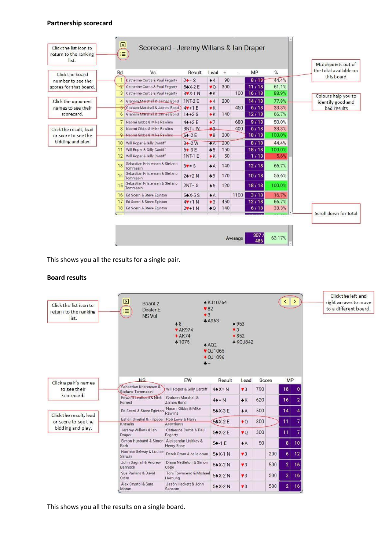#### **Partnership scorecard**

| Click the board                                                    | <b>Bd</b>      | Vs                                          | <b>Result</b>  | Lead                      | $+$ | $\sim$ | MP    | %      | Matchpoints out of<br>the total available on |
|--------------------------------------------------------------------|----------------|---------------------------------------------|----------------|---------------------------|-----|--------|-------|--------|----------------------------------------------|
| number to see the                                                  |                | Catherine Curtis & Paul Fegarty             | $2 \cdot = S$  | $\bullet$ 4               | 90  |        | 8/18  | 44.4%  | this board                                   |
| scores for that board.                                             | $\overline{2}$ | Catherine Curtis & Paul Fegarty             | $54X-2E$       | $\mathbf{v}$ <sup>O</sup> | 300 |        | 11/18 | 61.1%  |                                              |
|                                                                    | 3              | Catherine Curtis & Paul Fegarty             | $3VX-1N$       | $*K$                      |     | 100    | 16/18 | 88.9%  |                                              |
| Click the opponent<br>names to see their<br>scorecard.             |                | 4 Graham Marshall & James Bond              | 1NT-2 E        | $\bullet$ 4               | 200 |        | 14/18 | 77.8%  | Colours help you to<br>identify good and     |
|                                                                    |                | 5 Graham Marshall & James Bond              | $4$ $+1$ E     | $*K$                      |     | 450    | 6/18  | 33.3%  | bad results                                  |
|                                                                    | 6              | Graham Marshall & James Bond                | $14 + 2S$      | $*K$                      | 140 |        | 12/18 | 66.7%  |                                              |
|                                                                    |                | 7 Naomi Gibbs & Mike Rawlins                | $44 + 2E$      | $+7$                      |     | 680    | 9/18  | 50.0%  |                                              |
| Click the result, lead<br>or score to see the<br>bidding and play. | 8              | Naomi Gibbs & Mike Rawlins                  | $3NT = W$      | 43                        |     | 400    | 6/18  | 33.3%  |                                              |
|                                                                    |                | 9 Naomi Gibbs & Mike Rawlins                | $64 - 2E$      | $\sqrt{8}$                | 200 |        | 18/18 | 100.0% |                                              |
|                                                                    | 10.            | Will Roper & Gilly Cardiff                  | $3 - 2W$       | AA                        | 200 |        | 8/18  | 44.4%  |                                              |
|                                                                    | 11             | Will Roper & Gilly Cardiff                  | $64-3E$        | $-5$                      | 150 |        | 18/18 | 100.0% |                                              |
|                                                                    | 12             | Will Roper & Gilly Cardiff                  | <b>1NT-1 E</b> | $*K$                      | 50  |        | 1/18  | 5.6%   |                                              |
|                                                                    | 13             | Sebastian Kristensen & Stefano<br>Tommasini | $3V = S$       | AA                        | 140 |        | 12/18 | 66.7%  |                                              |
|                                                                    | 14             | Sebastian Kristensen & Stefano<br>Tommasini | $24 + 2N$      | $-9$                      | 170 |        | 10/18 | 55.6%  |                                              |
|                                                                    | 15             | Sebastian Kristensen & Stefano<br>Tommasini | $2NT = S$      | $\bullet 5$               | 120 |        | 18/18 | 100.0% |                                              |
|                                                                    | 16             | Ed Scerri & Steve Eginton                   | $54X-5S$       | $\triangle$ A             |     | 1100   | 3/18  | 16.7%  |                                              |
|                                                                    | 17             | Ed Scerri & Steve Eginton                   | $4V+1N$        | $\bullet$ 3               | 450 |        | 12/18 | 66.7%  |                                              |
|                                                                    |                | 18 Ed Scerri & Steve Eginton                | $2V + 1N$      | $+0$                      | 140 |        | 6/18  | 33.3%  |                                              |
|                                                                    |                |                                             |                |                           |     |        |       |        | Scroll down for total                        |

This shows you all the results for a single pair.

#### **Board results**



This shows you all the results on a single board.